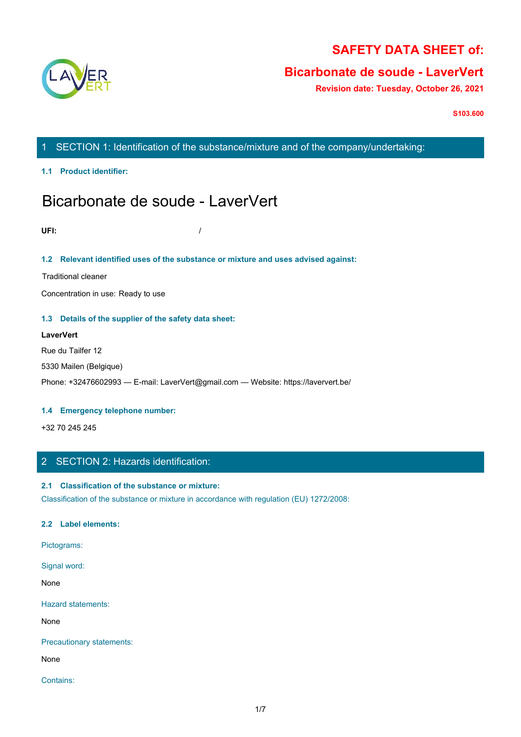

# **SAFETY DATA SHEET of:**

# **Bicarbonate de soude - LaverVert**

**Revision date: Tuesday, October 26, 2021**

**S103.600**

1 SECTION 1: Identification of the substance/mixture and of the company/undertaking:

**1.1 Product identifier:**

# Bicarbonate de soude - LaverVert

**UFI:** /

# **1.2 Relevant identified uses of the substance or mixture and uses advised against:**

Traditional cleaner

Concentration in use: Ready to use

# **1.3 Details of the supplier of the safety data sheet:**

**LaverVert** Rue du Tailfer 12 5330 Mailen (Belgique) Phone: +32476602993 — E-mail: LaverVert@gmail.com — Website: https://laververt.be/

## **1.4 Emergency telephone number:**

+32 70 245 245

# 2 SECTION 2: Hazards identification:

# **2.1 Classification of the substance or mixture:**

Classification of the substance or mixture in accordance with regulation (EU) 1272/2008:

# **2.2 Label elements:**

Pictograms:

Signal word:

None with the contract of the contract of the contract of the contract of the contract of the contract of the contract of the contract of the contract of the contract of the contract of the contract of the contract of the

Hazard statements:

None with the contract of the contract of the contract of the contract of the contract of the contract of the contract of the contract of the contract of the contract of the contract of the contract of the contract of the

Precautionary statements:

None with the contract of the contract of the contract of the contract of the contract of the contract of the contract of the contract of the contract of the contract of the contract of the contract of the contract of the

Contains: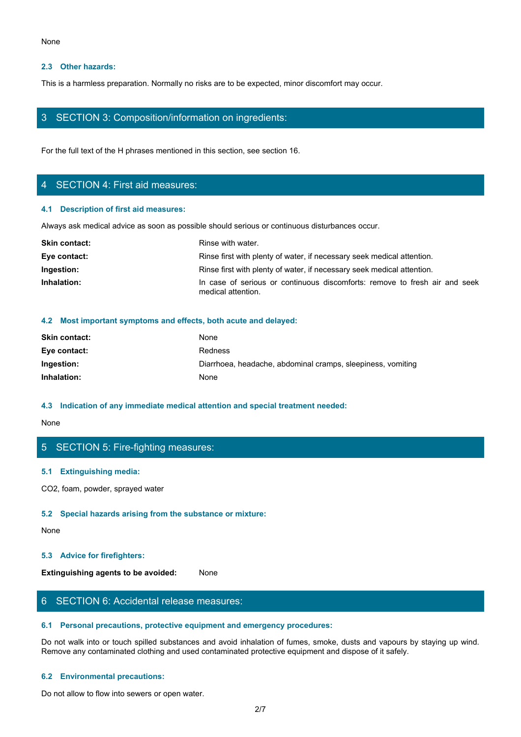#### **2.3 Other hazards:**

# 3 SECTION 3: Composition/information on ingredients:

# 4 SECTION 4: First aid measures:

#### **4.1 Description of first aid measures:**

| None                                                                                              |                                                                                                  |  |
|---------------------------------------------------------------------------------------------------|--------------------------------------------------------------------------------------------------|--|
| 2.3 Other hazards:                                                                                |                                                                                                  |  |
| This is a harmless preparation. Normally no risks are to be expected, minor discomfort may occur. |                                                                                                  |  |
|                                                                                                   | 3 SECTION 3: Composition/information on ingredients:                                             |  |
| For the full text of the H phrases mentioned in this section, see section 16.                     |                                                                                                  |  |
| 4 SECTION 4: First aid measures:                                                                  |                                                                                                  |  |
| 4.1 Description of first aid measures:                                                            |                                                                                                  |  |
|                                                                                                   | Always ask medical advice as soon as possible should serious or continuous disturbances occur.   |  |
| <b>Skin contact:</b>                                                                              | Rinse with water.                                                                                |  |
| Eye contact:                                                                                      | Rinse first with plenty of water, if necessary seek medical attention.                           |  |
| Ingestion:                                                                                        | Rinse first with plenty of water, if necessary seek medical attention.                           |  |
| Inhalation:                                                                                       | In case of serious or continuous discomforts: remove to fresh air and seek<br>medical attention. |  |
|                                                                                                   | 4.2 Most important symptoms and effects, both acute and delayed:                                 |  |
| Skin contact:                                                                                     | None                                                                                             |  |
|                                                                                                   |                                                                                                  |  |

#### **4.2 Most important symptoms and effects, both acute and delayed:**

| <b>Skin contact:</b> | None                                                        |
|----------------------|-------------------------------------------------------------|
| Eye contact:         | <b>Redness</b>                                              |
| Ingestion:           | Diarrhoea, headache, abdominal cramps, sleepiness, vomiting |
| Inhalation:          | None                                                        |

#### **4.3 Indication of any immediate medical attention and special treatment needed:**

#### None with the contract of the contract of the contract of the contract of the contract of the contract of the contract of the contract of the contract of the contract of the contract of the contract of the contract of the

# 5 SECTION 5: Fire-fighting measures:

#### **5.1 Extinguishing media:**

CO2, foam, powder, sprayed water

# **5.2 Special hazards arising from the substance or mixture:**

#### None with the contract of the contract of the contract of the contract of the contract of the contract of the contract of the contract of the contract of the contract of the contract of the contract of the contract of the

# **5.3 Advice for firefighters:**

**Extinguishing agents to be avoided:** None

# 6 SECTION 6: Accidental release measures:

# **6.1 Personal precautions, protective equipment and emergency procedures:**

Do not walk into or touch spilled substances and avoid inhalation of fumes, smoke, dusts and vapours by staying up wind. Remove any contaminated clothing and used contaminated protective equipment and dispose of it safely.

# **6.2 Environmental precautions:**

Do not allow to flow into sewers or open water.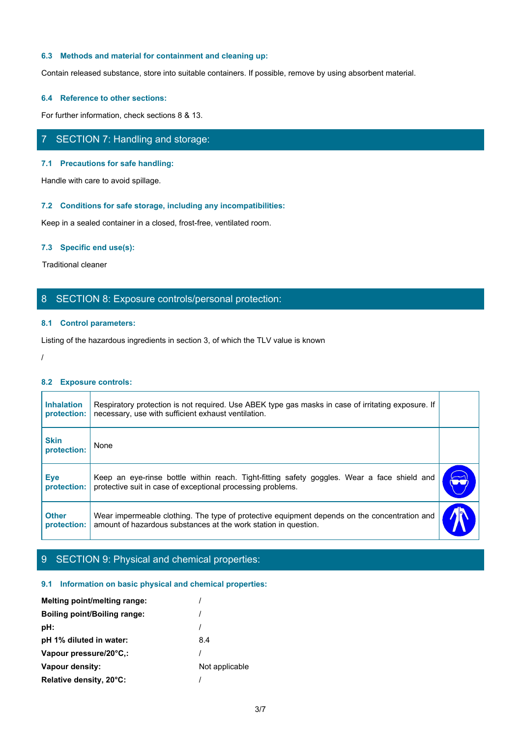### **6.3 Methods and material for containment and cleaning up:**

Contain released substance, store into suitable containers. If possible, remove by using absorbent material.

#### **6.4 Reference to other sections:**

For further information, check sections 8 & 13.

# 7 SECTION 7: Handling and storage:

#### **7.1 Precautions for safe handling:**

Handle with care to avoid spillage.

# **7.2 Conditions for safe storage, including any incompatibilities:**

#### **7.3 Specific end use(s):**

# 8 SECTION 8: Exposure controls/personal protection:

# **8.1 Control parameters:**

#### **8.2 Exposure controls:**

|                                                                      | <b>The Community for Suite Storage, instanting any incomputation of</b>                                                                                         |  |
|----------------------------------------------------------------------|-----------------------------------------------------------------------------------------------------------------------------------------------------------------|--|
| Keep in a sealed container in a closed, frost-free, ventilated room. |                                                                                                                                                                 |  |
| 7.3 Specific end use(s):                                             |                                                                                                                                                                 |  |
| <b>Traditional cleaner</b>                                           |                                                                                                                                                                 |  |
|                                                                      | 8 SECTION 8: Exposure controls/personal protection:                                                                                                             |  |
| 8.1 Control parameters:                                              |                                                                                                                                                                 |  |
|                                                                      | Listing of the hazardous ingredients in section 3, of which the TLV value is known                                                                              |  |
|                                                                      |                                                                                                                                                                 |  |
| 8.2 Exposure controls:                                               |                                                                                                                                                                 |  |
| <b>Inhalation</b><br>protection:                                     | Respiratory protection is not required. Use ABEK type gas masks in case of irritating exposure. If<br>necessary, use with sufficient exhaust ventilation.       |  |
| <b>Skin</b><br>protection:                                           | None                                                                                                                                                            |  |
| <b>Eye</b><br>protection:                                            | Keep an eye-rinse bottle within reach. Tight-fitting safety goggles. Wear a face shield and<br>protective suit in case of exceptional processing problems.      |  |
| <b>Other</b><br>protection:                                          | Wear impermeable clothing. The type of protective equipment depends on the concentration and<br>amount of hazardous substances at the work station in question. |  |
|                                                                      |                                                                                                                                                                 |  |

# 9 SECTION 9: Physical and chemical properties:

#### **9.1 Information on basic physical and chemical properties:**

| <b>Melting point/melting range:</b> |                |
|-------------------------------------|----------------|
| Boiling point/Boiling range:        |                |
| pH:                                 |                |
| pH 1% diluted in water:             | 8.4            |
| Vapour pressure/20°C.:              |                |
| Vapour density:                     | Not applicable |
| Relative density, 20°C:             |                |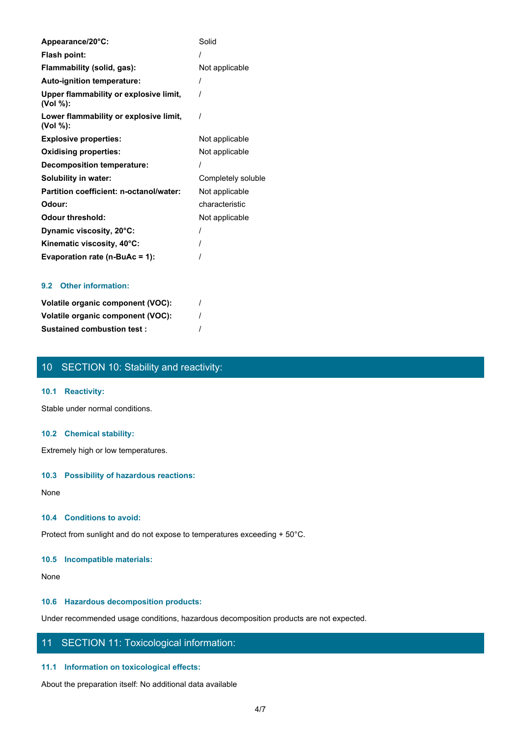| Appearance/20°C:                                   | Solid              |
|----------------------------------------------------|--------------------|
| Flash point:                                       |                    |
| Flammability (solid, gas):                         | Not applicable     |
| Auto-ignition temperature:                         |                    |
| Upper flammability or explosive limit,<br>(Vol %): |                    |
| Lower flammability or explosive limit,<br>(Vol %): |                    |
| <b>Explosive properties:</b>                       | Not applicable     |
| <b>Oxidising properties:</b>                       | Not applicable     |
| <b>Decomposition temperature:</b>                  |                    |
| Solubility in water:                               | Completely soluble |
| Partition coefficient: n-octanol/water:            | Not applicable     |
| Odour:                                             | characteristic     |
| <b>Odour threshold:</b>                            | Not applicable     |
| Dynamic viscosity, 20°C:                           |                    |
| Kinematic viscosity, 40°C:                         |                    |
| Evaporation rate (n-BuAc = 1):                     |                    |

# **9.2 Other information:**

| Volatile organic component (VOC): |  |
|-----------------------------------|--|
| Volatile organic component (VOC): |  |
| <b>Sustained combustion test:</b> |  |

# 10 SECTION 10: Stability and reactivity:

# **10.1 Reactivity:**

Stable under normal conditions.

# **10.2 Chemical stability:**

Extremely high or low temperatures.

# **10.3 Possibility of hazardous reactions:**

None with the contract of the contract of the contract of the contract of the contract of the contract of the contract of the contract of the contract of the contract of the contract of the contract of the contract of the

### **10.4 Conditions to avoid:**

Protect from sunlight and do not expose to temperatures exceeding + 50°C.

### **10.5 Incompatible materials:**

None with the contract of the contract of the contract of the contract of the contract of the contract of the contract of the contract of the contract of the contract of the contract of the contract of the contract of the

# **10.6 Hazardous decomposition products:**

Under recommended usage conditions, hazardous decomposition products are not expected.

# 11 SECTION 11: Toxicological information:

### **11.1 Information on toxicological effects:**

About the preparation itself: No additional data available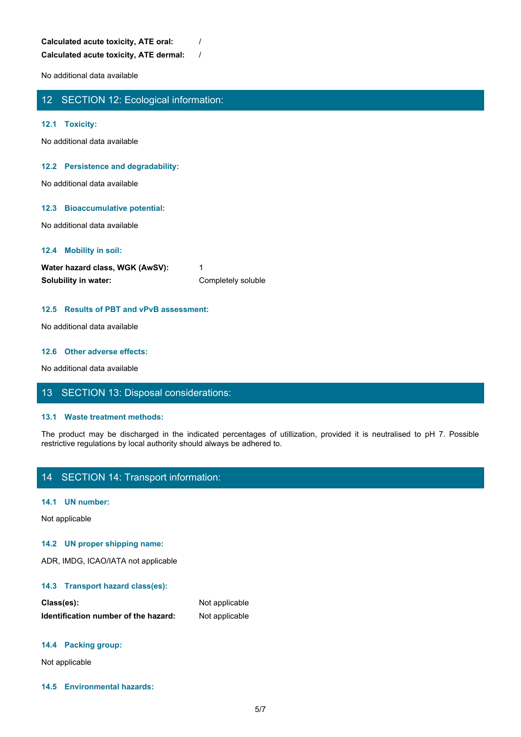**Calculated acute toxicity, ATE oral:** / **Calculated acute toxicity, ATE dermal:** /

No additional data available

# 12 SECTION 12: Ecological information:

### **12.1 Toxicity:**

No additional data available

#### **12.2 Persistence and degradability:**

No additional data available

#### **12.3 Bioaccumulative potential:**

No additional data available

#### **12.4 Mobility in soil:**

| Water hazard class, WGK (AwSV): |                    |
|---------------------------------|--------------------|
| Solubility in water:            | Completely soluble |

#### **12.5 Results of PBT and vPvB assessment:**

No additional data available

#### **12.6 Other adverse effects:**

No additional data available

# 13 SECTION 13: Disposal considerations:

#### **13.1 Waste treatment methods:**

The product may be discharged in the indicated percentages of utilization of the individual data available<br>More charged is a waliable<br>Water hazard class, WGK (AWSV):<br>The indicated class, WGK (AWSV):<br>The product may be disc restrictive regulations by local authority should always be adhered to.

# 14 SECTION 14: Transport information:

#### **14.1 UN number:**

Not applicable

#### **14.2 UN proper shipping name:**

ADR, IMDG, ICAO/IATA not applicable

#### **14.3 Transport hazard class(es):**

| Class(es):                           | Not applicable |
|--------------------------------------|----------------|
| Identification number of the hazard: | Not applicable |

#### **14.4 Packing group:**

Not applicable

**14.5 Environmental hazards:**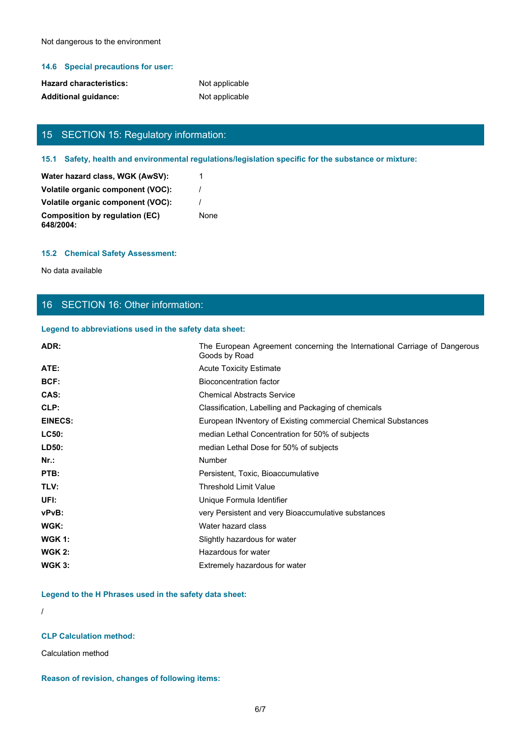Not dangerous to the environment

# **14.6 Special precautions for user:**

| <b>Hazard characteristics:</b> | Not applicable |
|--------------------------------|----------------|
| <b>Additional guidance:</b>    | Not applicable |

# 15 SECTION 15: Regulatory information:

# **15.1 Safety, health and environmental regulations/legislation specific for the substance or mixture:**

| Water hazard class, WGK (AwSV):             |      |
|---------------------------------------------|------|
| Volatile organic component (VOC):           |      |
| Volatile organic component (VOC):           |      |
| Composition by regulation (EC)<br>648/2004: | None |

### **15.2 Chemical Safety Assessment:**

No data available

# 16 SECTION 16: Other information:

### **Legend to abbreviations used in the safety data sheet:**

| ADR:           | The European Agreement concerning the International Carriage of Dangerous<br>Goods by Road |
|----------------|--------------------------------------------------------------------------------------------|
| ATE:           | <b>Acute Toxicity Estimate</b>                                                             |
| BCF:           | <b>Bioconcentration factor</b>                                                             |
| CAS:           | <b>Chemical Abstracts Service</b>                                                          |
| CLP:           | Classification, Labelling and Packaging of chemicals                                       |
| <b>EINECS:</b> | European INventory of Existing commercial Chemical Substances                              |
| <b>LC50:</b>   | median Lethal Concentration for 50% of subjects                                            |
| LD50:          | median Lethal Dose for 50% of subjects                                                     |
| $Nr.$ :        | <b>Number</b>                                                                              |
| PTB:           | Persistent, Toxic, Bioaccumulative                                                         |
| TLV:           | <b>Threshold Limit Value</b>                                                               |
| UFI:           | Unique Formula Identifier                                                                  |
| vPvB:          | very Persistent and very Bioaccumulative substances                                        |
| WGK:           | Water hazard class                                                                         |
| <b>WGK 1:</b>  | Slightly hazardous for water                                                               |
| <b>WGK 2:</b>  | Hazardous for water                                                                        |
| <b>WGK 3:</b>  | Extremely hazardous for water                                                              |

**Legend to the H Phrases used in the safety data sheet:**

/

# **CLP Calculation method:**

Calculation method

### **Reason of revision, changes of following items:**